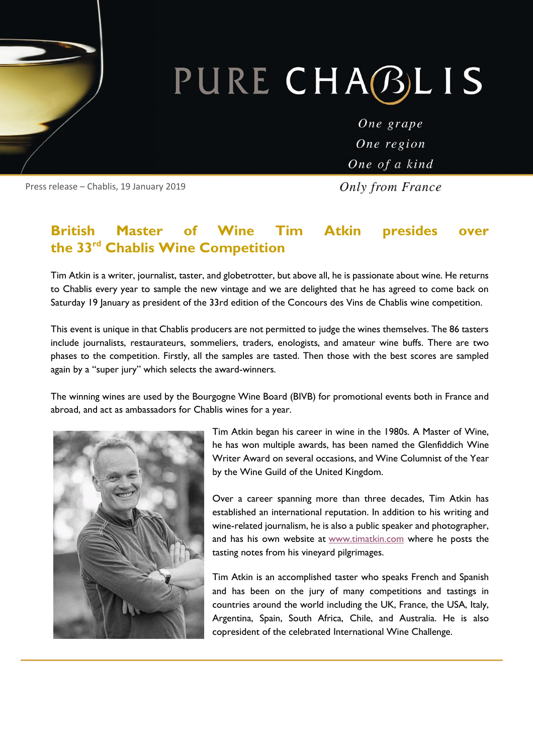# PURE CHABLIS

One grape One region One of a kind

**Only from France** 

Press release – Chablis, 19 January 2019

#### **British Master of Wine Tim Atkin presides over the 33rd Chablis Wine Competition**

Tim Atkin is a writer, journalist, taster, and globetrotter, but above all, he is passionate about wine. He returns to Chablis every year to sample the new vintage and we are delighted that he has agreed to come back on Saturday 19 January as president of the 33rd edition of the Concours des Vins de Chablis wine competition.

This event is unique in that Chablis producers are not permitted to judge the wines themselves. The 86 tasters include journalists, restaurateurs, sommeliers, traders, enologists, and amateur wine buffs. There are two phases to the competition. Firstly, all the samples are tasted. Then those with the best scores are sampled again by a "super jury" which selects the award-winners.

The winning wines are used by the Bourgogne Wine Board (BIVB) for promotional events both in France and abroad, and act as ambassadors for Chablis wines for a year.



Tim Atkin began his career in wine in the 1980s. A Master of Wine, he has won multiple awards, has been named the Glenfiddich Wine Writer Award on several occasions, and Wine Columnist of the Year by the Wine Guild of the United Kingdom.

Over a career spanning more than three decades, Tim Atkin has established an international reputation. In addition to his writing and wine-related journalism, he is also a public speaker and photographer, and has his own website at [www.timatkin.com](http://www.timatkin.com/) where he posts the tasting notes from his vineyard pilgrimages.

Tim Atkin is an accomplished taster who speaks French and Spanish and has been on the jury of many competitions and tastings in countries around the world including the UK, France, the USA, Italy, Argentina, Spain, South Africa, Chile, and Australia. He is also copresident of the celebrated International Wine Challenge.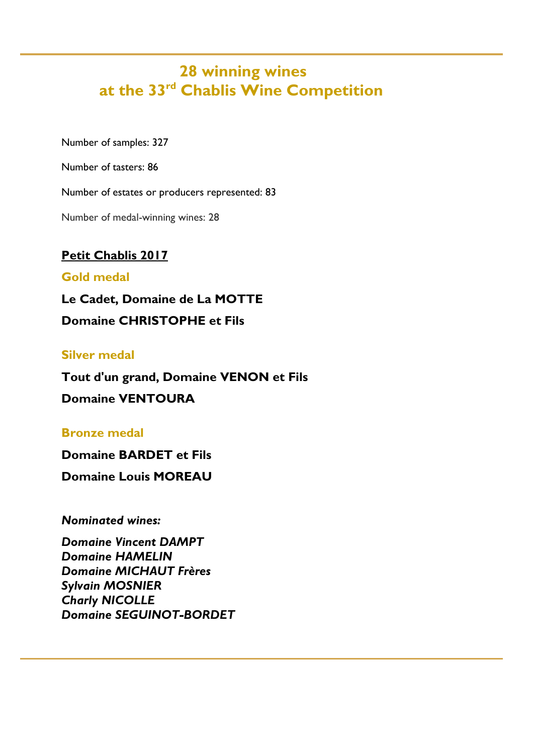### **28 winning wines at the 33rd Chablis Wine Competition**

Number of samples: 327

Number of tasters: 86

Number of estates or producers represented: 83

Number of medal-winning wines: 28

#### **Petit Chablis 2017**

#### **Gold medal**

**Le Cadet, Domaine de La MOTTE Domaine CHRISTOPHE et Fils**

#### **Silver medal**

**Tout d'un grand, Domaine VENON et Fils Domaine VENTOURA**

#### **Bronze medal**

**Domaine BARDET et Fils**

**Domaine Louis MOREAU**

*Nominated wines:*

*Domaine Vincent DAMPT Domaine HAMELIN Domaine MICHAUT Frères Sylvain MOSNIER Charly NICOLLE Domaine SEGUINOT-BORDET*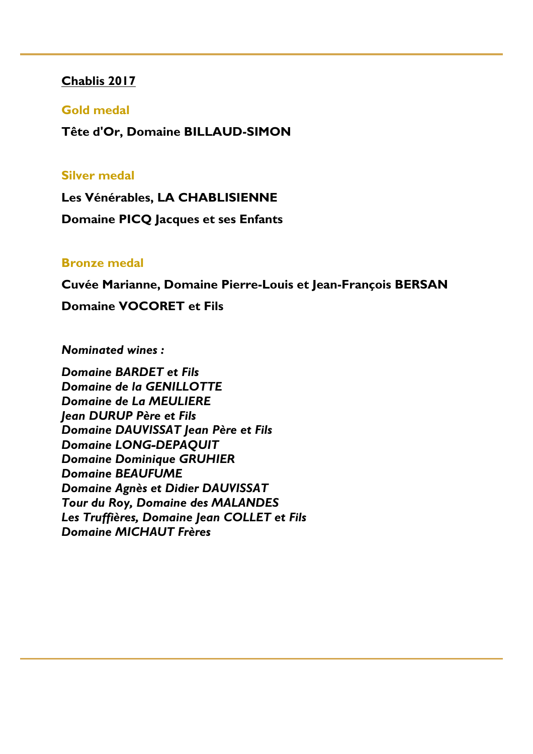#### **Chablis 2017**

#### **Gold medal**

**Tête d'Or, Domaine BILLAUD-SIMON**

#### **Silver medal**

**Les Vénérables, LA CHABLISIENNE Domaine PICQ Jacques et ses Enfants**

#### **Bronze medal**

**Cuvée Marianne, Domaine Pierre-Louis et Jean-François BERSAN**

**Domaine VOCORET et Fils**

*Nominated wines :*

*Domaine BARDET et Fils Domaine de la GENILLOTTE Domaine de La MEULIERE Jean DURUP Père et Fils Domaine DAUVISSAT Jean Père et Fils Domaine LONG-DEPAQUIT Domaine Dominique GRUHIER Domaine BEAUFUME Domaine Agnès et Didier DAUVISSAT Tour du Roy, Domaine des MALANDES Les Truffières, Domaine Jean COLLET et Fils Domaine MICHAUT Frères*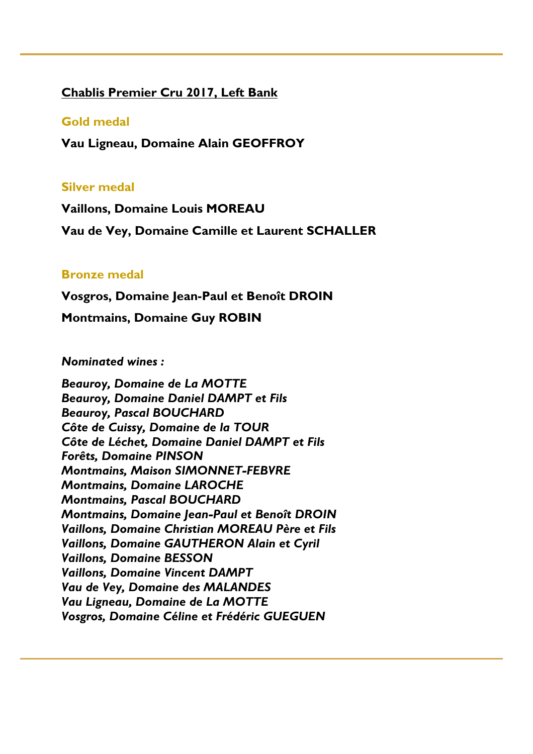#### **Chablis Premier Cru 2017, Left Bank**

#### **Gold medal**

**Vau Ligneau, Domaine Alain GEOFFROY**

#### **Silver medal**

**Vaillons, Domaine Louis MOREAU**

**Vau de Vey, Domaine Camille et Laurent SCHALLER**

#### **Bronze medal**

**Vosgros, Domaine Jean-Paul et Benoît DROIN** 

**Montmains, Domaine Guy ROBIN**

#### *Nominated wines :*

*Beauroy, Domaine de La MOTTE Beauroy, Domaine Daniel DAMPT et Fils Beauroy, Pascal BOUCHARD Côte de Cuissy, Domaine de la TOUR Côte de Léchet, Domaine Daniel DAMPT et Fils Forêts, Domaine PINSON Montmains, Maison SIMONNET-FEBVRE Montmains, Domaine LAROCHE Montmains, Pascal BOUCHARD Montmains, Domaine Jean-Paul et Benoît DROIN Vaillons, Domaine Christian MOREAU Père et Fils Vaillons, Domaine GAUTHERON Alain et Cyril Vaillons, Domaine BESSON Vaillons, Domaine Vincent DAMPT Vau de Vey, Domaine des MALANDES Vau Ligneau, Domaine de La MOTTE Vosgros, Domaine Céline et Frédéric GUEGUEN*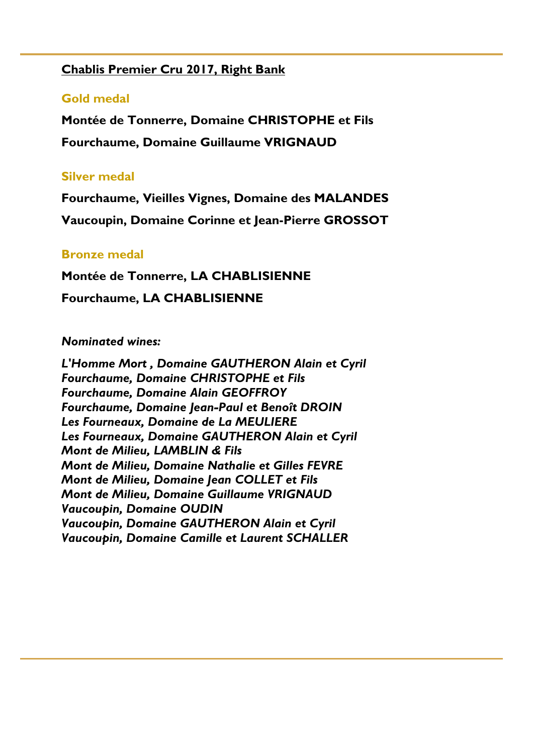#### **Chablis Premier Cru 2017, Right Bank**

#### **Gold medal**

**Montée de Tonnerre, Domaine CHRISTOPHE et Fils Fourchaume, Domaine Guillaume VRIGNAUD**

#### **Silver medal**

**Fourchaume, Vieilles Vignes, Domaine des MALANDES Vaucoupin, Domaine Corinne et Jean-Pierre GROSSOT**

#### **Bronze medal**

**Montée de Tonnerre, LA CHABLISIENNE Fourchaume, LA CHABLISIENNE**

#### *Nominated wines:*

*L'Homme Mort , Domaine GAUTHERON Alain et Cyril Fourchaume, Domaine CHRISTOPHE et Fils Fourchaume, Domaine Alain GEOFFROY Fourchaume, Domaine Jean-Paul et Benoît DROIN Les Fourneaux, Domaine de La MEULIERE Les Fourneaux, Domaine GAUTHERON Alain et Cyril Mont de Milieu, LAMBLIN & Fils Mont de Milieu, Domaine Nathalie et Gilles FEVRE Mont de Milieu, Domaine Jean COLLET et Fils Mont de Milieu, Domaine Guillaume VRIGNAUD Vaucoupin, Domaine OUDIN Vaucoupin, Domaine GAUTHERON Alain et Cyril Vaucoupin, Domaine Camille et Laurent SCHALLER*